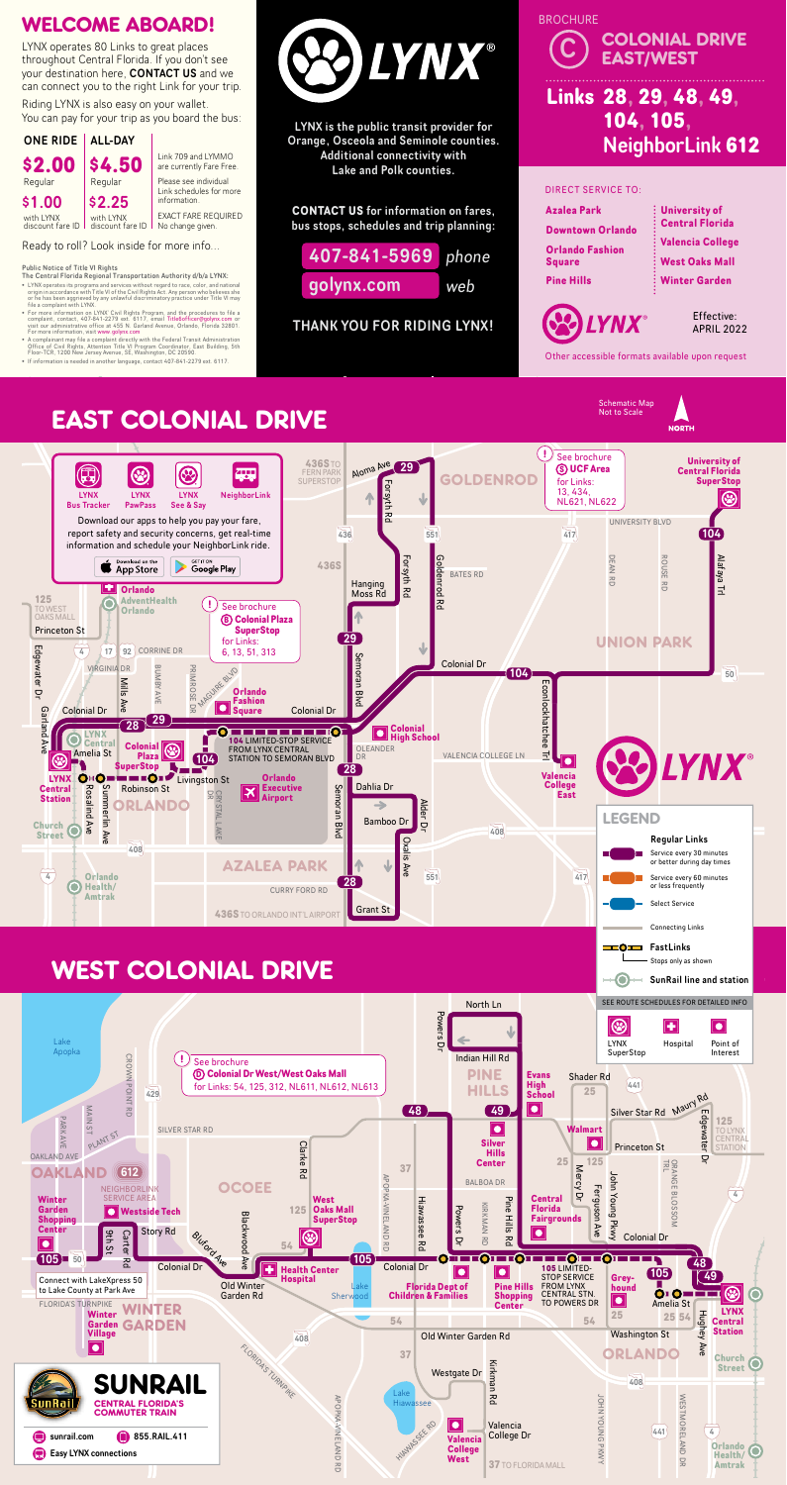LYNX is the public transit provider for Orange, Osceola and Seminole counties. Additional connectivity with Lake and Polk counties.

Riding LYNX is also easy on your wallet. You can pay for your trip as you board the bus:

> **CONTACT US** for information on fares, bus stops, schedules and trip planning:

THANK YOU FOR RIDING LYNX!



## WELCOME ABOARD!

Ready to roll? Look inside for more info...

- The Central Florida Regional Transportation Authority d/b/a LYNX:
- LYNX operates its programs and services without regard to race, color, and national<br>origin in accordance with Title VI of the Civil Rights Act. Any person who believes she<br>or he has been aggrieved by any unlawful discrim
- For more information on LYNX' Civil Rights Program, and the procedures to file a<br>complaint, contact, 407-841-2279 ext. 6117, email Title6officer@golynx.com or<br>visit our administrative office at 455 N. Garland Avenue, Orl
- A complainant may file a complaint directly with the Federal Transit Administration<br>Office of Civil Rights, Attention Title VI Program Coordinator, East Building, 5th<br>Floor-TCR, 1200 New Jersey Avenue, SE, Washington, DC 2
- 



LYNX operates 80 Links to great places throughout Central Florida. If you don't see your destination here, CONTACT US and we can connect you to the right Link for your trip.



Link 709 and LYMMO are currently Fare Free. Please see individual Link schedules for more

EXACT FARE REQUIRED No change given.

Other accessible formats available upon request



### Public Notice of Title VI Rights



sunrail.com

#### **AST COLONIAL DRIVE CART COLONIAL DONCE EAST COLONIAL DRIVE**





Schematic Map Not to Scale

e **A** sympathy